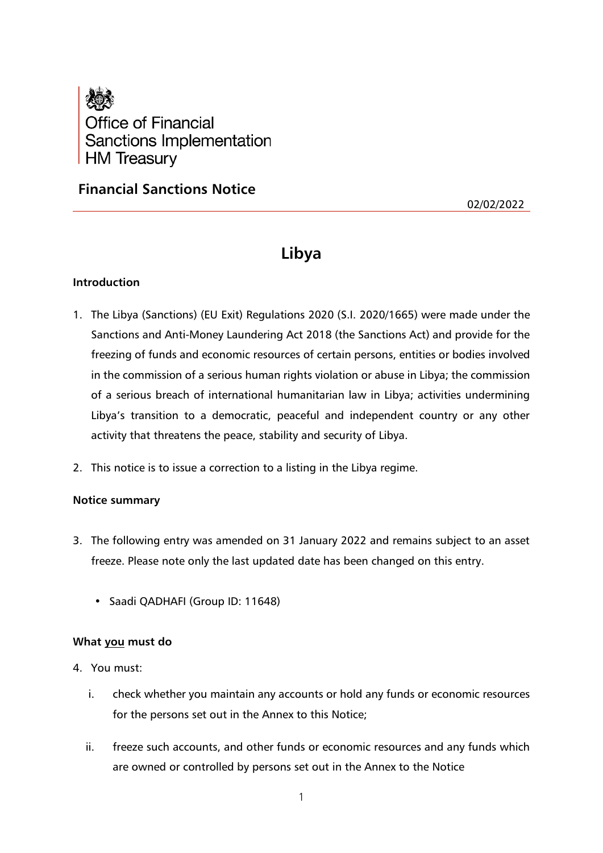

## **Financial Sanctions Notice**

02/02/2022

# **Libya**

## **Introduction**

- 1. The Libya (Sanctions) (EU Exit) Regulations 2020 (S.I. 2020/1665) were made under the Sanctions and Anti-Money Laundering Act 2018 (the Sanctions Act) and provide for the freezing of funds and economic resources of certain persons, entities or bodies involved in the commission of a serious human rights violation or abuse in Libya; the commission of a serious breach of international humanitarian law in Libya; activities undermining Libya's transition to a democratic, peaceful and independent country or any other activity that threatens the peace, stability and security of Libya.
- 2. This notice is to issue a correction to a listing in the Libya regime.

## **Notice summary**

- 3. The following entry was amended on 31 January 2022 and remains subject to an asset freeze. Please note only the last updated date has been changed on this entry.
	- Saadi QADHAFI (Group ID: 11648)

## **What you must do**

- 4. You must:
	- i. check whether you maintain any accounts or hold any funds or economic resources for the persons set out in the Annex to this Notice;
	- ii. freeze such accounts, and other funds or economic resources and any funds which are owned or controlled by persons set out in the Annex to the Notice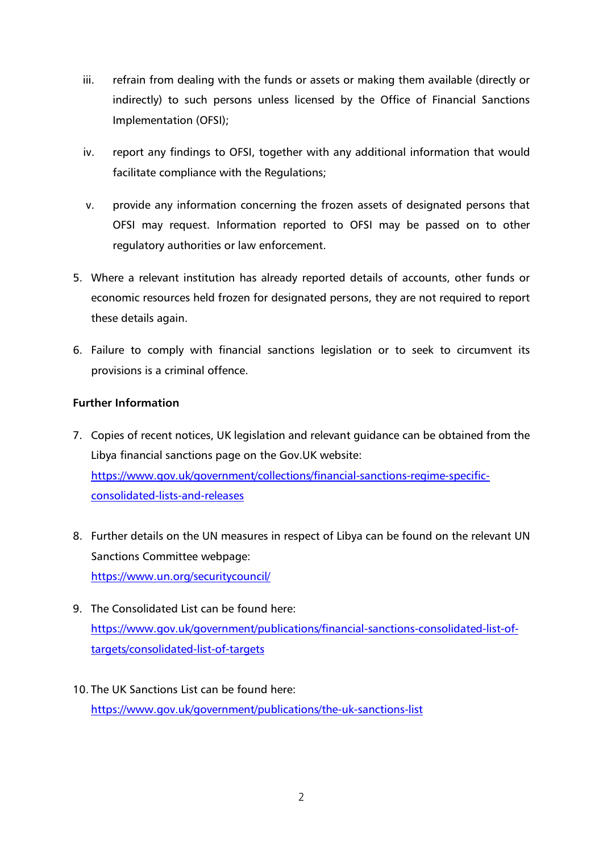- iii. refrain from dealing with the funds or assets or making them available (directly or indirectly) to such persons unless licensed by the Office of Financial Sanctions Implementation (OFSI);
- iv. report any findings to OFSI, together with any additional information that would facilitate compliance with the Regulations;
- v. provide any information concerning the frozen assets of designated persons that OFSI may request. Information reported to OFSI may be passed on to other regulatory authorities or law enforcement.
- 5. Where a relevant institution has already reported details of accounts, other funds or economic resources held frozen for designated persons, they are not required to report these details again.
- 6. Failure to comply with financial sanctions legislation or to seek to circumvent its provisions is a criminal offence.

## **Further Information**

- 7. Copies of recent notices, UK legislation and relevant guidance can be obtained from the Libya financial sanctions page on the Gov.UK website: [https://www.gov.uk/government/collections/financial-sanctions-regime-specific](https://www.gov.uk/government/collections/financial-sanctions-regime-specific-consolidated-lists-and-releases)[consolidated-lists-and-releases](https://www.gov.uk/government/collections/financial-sanctions-regime-specific-consolidated-lists-and-releases)
- 8. Further details on the UN measures in respect of Libya can be found on the relevant UN Sanctions Committee webpage: <https://www.un.org/securitycouncil/>
- 9. The Consolidated List can be found here: [https://www.gov.uk/government/publications/financial-sanctions-consolidated-list-of](https://www.gov.uk/government/publications/financial-sanctions-consolidated-list-of-targets/consolidated-list-of-targets)[targets/consolidated-list-of-targets](https://www.gov.uk/government/publications/financial-sanctions-consolidated-list-of-targets/consolidated-list-of-targets)
- 10. The UK Sanctions List can be found here: <https://www.gov.uk/government/publications/the-uk-sanctions-list>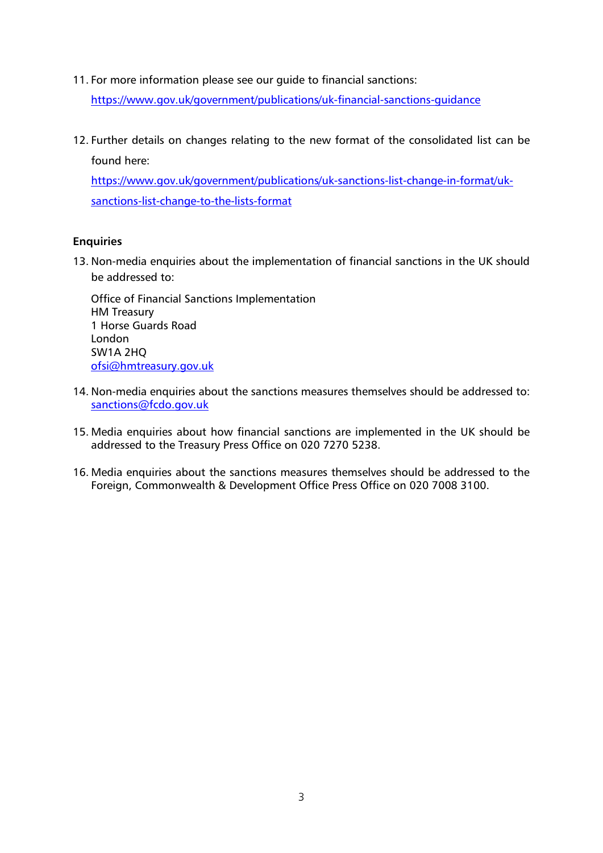11. For more information please see our guide to financial sanctions:

<https://www.gov.uk/government/publications/uk-financial-sanctions-guidance>

12. Further details on changes relating to the new format of the consolidated list can be found here:

[https://www.gov.uk/government/publications/uk-sanctions-list-change-in-format/uk](https://www.gov.uk/government/publications/uk-sanctions-list-change-in-format/uk-sanctions-list-change-to-the-lists-format)[sanctions-list-change-to-the-lists-format](https://www.gov.uk/government/publications/uk-sanctions-list-change-in-format/uk-sanctions-list-change-to-the-lists-format)

## **Enquiries**

13. Non-media enquiries about the implementation of financial sanctions in the UK should be addressed to:

Office of Financial Sanctions Implementation HM Treasury 1 Horse Guards Road London SW1A 2HQ [ofsi@hmtreasury.gov.uk](mailto:ofsi@hmtreasury.gov.uk)

- 14. Non-media enquiries about the sanctions measures themselves should be addressed to: [sanctions@fcdo.gov.uk](mailto:sanctions@fcdo.gov.uk)
- 15. Media enquiries about how financial sanctions are implemented in the UK should be addressed to the Treasury Press Office on 020 7270 5238.
- 16. Media enquiries about the sanctions measures themselves should be addressed to the Foreign, Commonwealth & Development Office Press Office on 020 7008 3100.